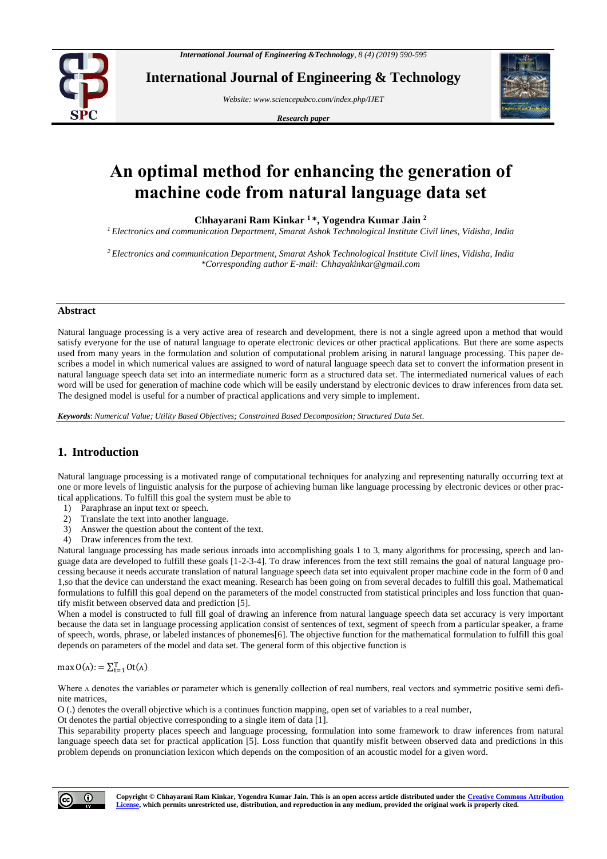

**International Journal of Engineering & Technology**

*Website: www.sciencepubco.com/index.php/IJET*

*Research paper*



# **An optimal method for enhancing the generation of machine code from natural language data set**

**Chhayarani Ram Kinkar <sup>1</sup> \*, Yogendra Kumar Jain <sup>2</sup>**

*<sup>1</sup> Electronics and communication Department, Smarat Ashok Technological Institute Civil lines, Vidisha, India*

*<sup>2</sup> Electronics and communication Department, Smarat Ashok Technological Institute Civil lines, Vidisha, India \*Corresponding author E-mail: Chhayakinkar@gmail.com*

#### **Abstract**

Natural language processing is a very active area of research and development, there is not a single agreed upon a method that would satisfy everyone for the use of natural language to operate electronic devices or other practical applications. But there are some aspects used from many years in the formulation and solution of computational problem arising in natural language processing. This paper describes a model in which numerical values are assigned to word of natural language speech data set to convert the information present in natural language speech data set into an intermediate numeric form as a structured data set. The intermediated numerical values of each word will be used for generation of machine code which will be easily understand by electronic devices to draw inferences from data set. The designed model is useful for a number of practical applications and very simple to implement.

*Keywords*: *Numerical Value; Utility Based Objectives; Constrained Based Decomposition; Structured Data Set.*

# **1. Introduction**

Natural language processing is a motivated range of computational techniques for analyzing and representing naturally occurring text at one or more levels of linguistic analysis for the purpose of achieving human like language processing by electronic devices or other practical applications. To fulfill this goal the system must be able to

- 1) Paraphrase an input text or speech.
- 2) Translate the text into another language.
- 3) Answer the question about the content of the text.
- 4) Draw inferences from the text.

Natural language processing has made serious inroads into accomplishing goals 1 to 3, many algorithms for processing, speech and language data are developed to fulfill these goals [1-2-3-4]. To draw inferences from the text still remains the goal of natural language processing because it needs accurate translation of natural language speech data set into equivalent proper machine code in the form of 0 and 1,so that the device can understand the exact meaning. Research has been going on from several decades to fulfill this goal. Mathematical formulations to fulfill this goal depend on the parameters of the model constructed from statistical principles and loss function that quantify misfit between observed data and prediction [5].

When a model is constructed to full fill goal of drawing an inference from natural language speech data set accuracy is very important because the data set in language processing application consist of sentences of text, segment of speech from a particular speaker, a frame of speech, words, phrase, or labeled instances of phonemes[6]. The objective function for the mathematical formulation to fulfill this goal depends on parameters of the model and data set. The general form of this objective function is

max  $O(\Lambda)$ : =  $\sum_{t=1}^{T} Ot(\Lambda)$ 

Where  $\Lambda$  denotes the variables or parameter which is generally collection of real numbers, real vectors and symmetric positive semi definite matrices,

O (.) denotes the overall objective which is a continues function mapping, open set of variables to a real number,

Ot denotes the partial objective corresponding to a single item of data [1].

This separability property places speech and language processing, formulation into some framework to draw inferences from natural language speech data set for practical application [5]. Loss function that quantify misfit between observed data and predictions in this problem depends on pronunciation lexicon which depends on the composition of an acoustic model for a given word.

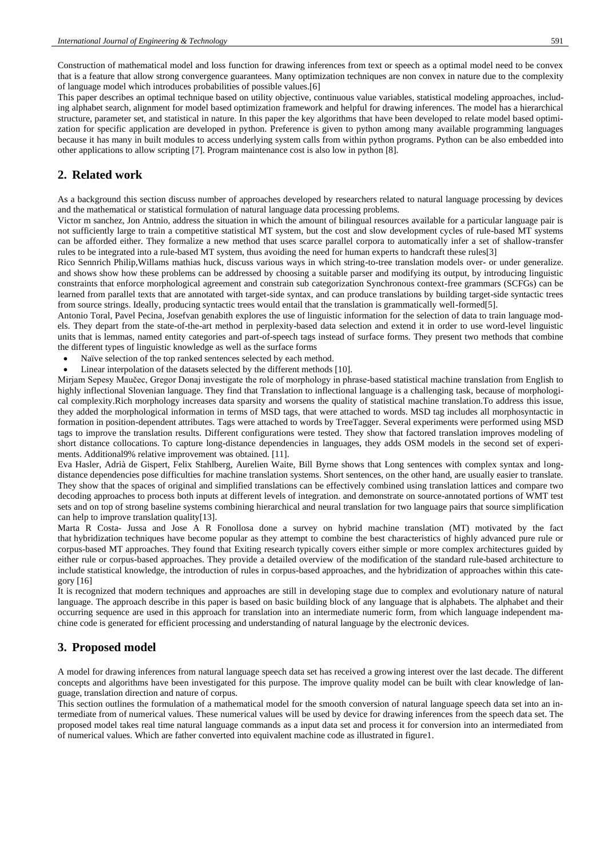Construction of mathematical model and loss function for drawing inferences from text or speech as a optimal model need to be convex that is a feature that allow strong convergence guarantees. Many optimization techniques are non convex in nature due to the complexity of language model which introduces probabilities of possible values.[6]

This paper describes an optimal technique based on utility objective, continuous value variables, statistical modeling approaches, including alphabet search, alignment for model based optimization framework and helpful for drawing inferences. The model has a hierarchical structure, parameter set, and statistical in nature. In this paper the key algorithms that have been developed to relate model based optimization for specific application are developed in python. Preference is given to python among many available programming languages because it has many in built modules to access underlying system calls from within python programs. Python can be also embedded into other applications to allow scripting [7]. Program maintenance cost is also low in python [8].

## **2. Related work**

As a background this section discuss number of approaches developed by researchers related to natural language processing by devices and the mathematical or statistical formulation of natural language data processing problems.

Victor m sanchez, Jon Antnio, address the situation in which the amount of bilingual resources available for a particular language pair is not sufficiently large to train a competitive statistical MT system, but the cost and slow development cycles of rule-based MT systems can be afforded either. They formalize a new method that uses scarce parallel corpora to automatically infer a set of shallow-transfer rules to be integrated into a rule-based MT system, thus avoiding the need for human experts to handcraft these rules[3]

Rico Sennrich Philip,Willams mathias huck, discuss various ways in which string-to-tree translation models over- or under generalize. and shows show how these problems can be addressed by choosing a suitable parser and modifying its output, by introducing linguistic constraints that enforce morphological agreement and constrain sub categorization Synchronous context-free grammars (SCFGs) can be learned from parallel texts that are annotated with target-side syntax, and can produce translations by building target-side syntactic trees from source strings. Ideally, producing syntactic trees would entail that the translation is grammatically well-formed[5].

Antonio Toral, Pavel Pecina, Josefvan genabith explores the use of linguistic information for the selection of data to train language models. They depart from the state-of-the-art method in perplexity-based data selection and extend it in order to use word-level linguistic units that is lemmas, named entity categories and part-of-speech tags instead of surface forms. They present two methods that combine the different types of linguistic knowledge as well as the surface forms

- Naïve selection of the top ranked sentences selected by each method.
- Linear interpolation of the datasets selected by the different methods [10].

Mirjam Sepesy Maučec, Gregor Donaj investigate the role of morphology in phrase-based statistical machine translation from English to highly inflectional Slovenian language. They find that Translation to inflectional language is a challenging task, because of morphological complexity.Rich morphology increases data sparsity and worsens the quality of statistical machine translation.To address this issue, they added the morphological information in terms of MSD tags, that were attached to words. MSD tag includes all morphosyntactic in formation in position-dependent attributes. Tags were attached to words by TreeTagger. Several experiments were performed using MSD tags to improve the translation results. Different configurations were tested. They show that factored translation improves modeling of short distance collocations. To capture long-distance dependencies in languages, they adds OSM models in the second set of experiments. Additional9% relative improvement was obtained. [11].

Eva Hasler, Adrià de Gispert, Felix Stahlberg, Aurelien Waite, Bill Byrne shows that Long sentences with complex syntax and longdistance dependencies pose difficulties for machine translation systems. Short sentences, on the other hand, are usually easier to translate. They show that the spaces of original and simplified translations can be effectively combined using translation lattices and compare two decoding approaches to process both inputs at different levels of integration. and demonstrate on source-annotated portions of WMT test sets and on top of strong baseline systems combining hierarchical and neural translation for two language pairs that source simplification can help to improve translation quality[13].

Marta R Costa- Jussa and Jose A R Fonollosa done a survey on hybrid machine translation (MT) motivated by the fact that hybridization techniques have become popular as they attempt to combine the best characteristics of highly advanced pure rule or corpus-based MT approaches. They found that Exiting research typically covers either simple or more complex architectures guided by either rule or corpus-based approaches. They provide a detailed overview of the modification of the standard rule-based architecture to include statistical knowledge, the introduction of rules in corpus-based approaches, and the hybridization of approaches within this category [16]

It is recognized that modern techniques and approaches are still in developing stage due to complex and evolutionary nature of natural language. The approach describe in this paper is based on basic building block of any language that is alphabets. The alphabet and their occurring sequence are used in this approach for translation into an intermediate numeric form, from which language independent machine code is generated for efficient processing and understanding of natural language by the electronic devices.

# **3. Proposed model**

A model for drawing inferences from natural language speech data set has received a growing interest over the last decade. The different concepts and algorithms have been investigated for this purpose. The improve quality model can be built with clear knowledge of language, translation direction and nature of corpus.

This section outlines the formulation of a mathematical model for the smooth conversion of natural language speech data set into an intermediate from of numerical values. These numerical values will be used by device for drawing inferences from the speech data set. The proposed model takes real time natural language commands as a input data set and process it for conversion into an intermediated from of numerical values. Which are father converted into equivalent machine code as illustrated in figure1.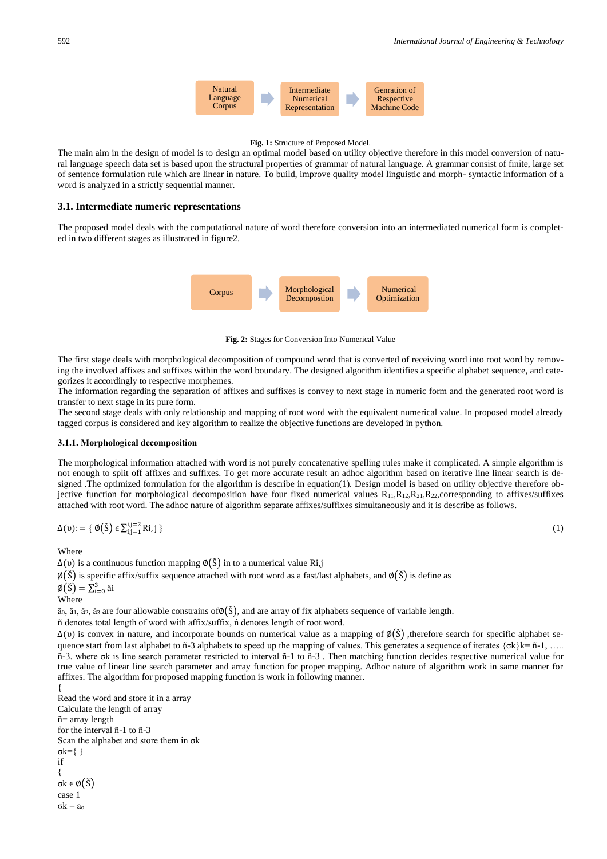

#### **Fig. 1:** Structure of Proposed Model.

The main aim in the design of model is to design an optimal model based on utility objective therefore in this model conversion of natural language speech data set is based upon the structural properties of grammar of natural language. A grammar consist of finite, large set of sentence formulation rule which are linear in nature. To build, improve quality model linguistic and morph- syntactic information of a word is analyzed in a strictly sequential manner.

#### **3.1. Intermediate numeric representations**

The proposed model deals with the computational nature of word therefore conversion into an intermediated numerical form is completed in two different stages as illustrated in figure2.



**Fig. 2:** Stages for Conversion Into Numerical Value

The first stage deals with morphological decomposition of compound word that is converted of receiving word into root word by removing the involved affixes and suffixes within the word boundary. The designed algorithm identifies a specific alphabet sequence, and categorizes it accordingly to respective morphemes.

The information regarding the separation of affixes and suffixes is convey to next stage in numeric form and the generated root word is transfer to next stage in its pure form.

The second stage deals with only relationship and mapping of root word with the equivalent numerical value. In proposed model already tagged corpus is considered and key algorithm to realize the objective functions are developed in python.

#### **3.1.1. Morphological decomposition**

The morphological information attached with word is not purely concatenative spelling rules make it complicated. A simple algorithm is not enough to split off affixes and suffixes. To get more accurate result an adhoc algorithm based on iterative line linear search is designed .The optimized formulation for the algorithm is describe in equation(1). Design model is based on utility objective therefore objective function for morphological decomposition have four fixed numerical values  $R_{11},R_{12},R_{21},R_{22}$ , corresponding to affixes/suffixes attached with root word. The adhoc nature of algorithm separate affixes/suffixes simultaneously and it is describe as follows.

$$
\Delta(\mathbf{u}) = \{ \emptyset(\check{\mathbf{S}}) \in \sum_{i,j=1}^{i,j=2} \text{R}i, j \} \tag{1}
$$

**Where** 

 $\Delta(v)$  is a continuous function mapping  $\varnothing(\check{S})$  in to a numerical value Ri,j

 $\emptyset$ (Š) is specific affix/suffix sequence attached with root word as a fast/last alphabets, and  $\emptyset$ (Š) is define as

```
\varnothing(\check{\mathrm{S}}) = \sum_{i=0}^3 \hat{\mathrm{a}}i
```
Where

 $\hat{a}_0$ ,  $\hat{a}_1$ ,  $\hat{a}_2$ ,  $\hat{a}_3$  are four allowable constrains of $\varphi(\check{S})$ , and are array of fix alphabets sequence of variable length.

ñ denotes total length of word with affix/suffix, ń denotes length of root word.

 $\Delta$ (v) is convex in nature, and incorporate bounds on numerical value as a mapping of  $\varnothing(\tilde{S})$ , therefore search for specific alphabet sequence start from last alphabet to ñ-3 alphabets to speed up the mapping of values. This generates a sequence of iterates  $\{\sigma k\}$ k= ñ-1, ….. ñ-3. where σk is line search parameter restricted to interval ñ-1 to ñ-3 . Then matching function decides respective numerical value for true value of linear line search parameter and array function for proper mapping. Adhoc nature of algorithm work in same manner for affixes. The algorithm for proposed mapping function is work in following manner.

```
{
Read the word and store it in a array
Calculate the length of array
ñ= array length
for the interval ñ-1 to ñ-3
Scan the alphabet and store them in σk
σk={ }
if 
{
σk ϵ ∅(Š)
case 1
σk = ao
```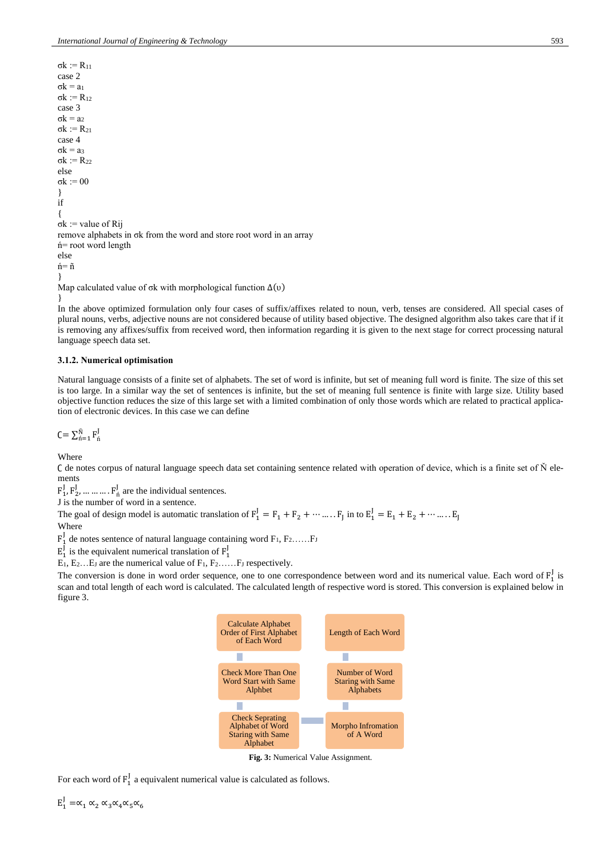σk := R<sup>11</sup> case 2  $σk = a<sub>1</sub>$ σk := R<sup>12</sup> case 3  $σk = a<sub>2</sub>$ σk := R<sup>21</sup> case 4  $σk = a<sub>3</sub>$ σk := R<sup>22</sup> else σk := 00 } if { σk := value of Rij remove alphabets in σk from the word and store root word in an array ń= root word length else ń= ñ }

Map calculated value of  $\sigma$ k with morphological function  $\Delta(\upsilon)$ 

} In the above optimized formulation only four cases of suffix/affixes related to noun, verb, tenses are considered. All special cases of plural nouns, verbs, adjective nouns are not considered because of utility based objective. The designed algorithm also takes care that if it is removing any affixes/suffix from received word, then information regarding it is given to the next stage for correct processing natural language speech data set.

#### **3.1.2. Numerical optimisation**

Natural language consists of a finite set of alphabets. The set of word is infinite, but set of meaning full word is finite. The size of this set is too large. In a similar way the set of sentences is infinite, but the set of meaning full sentence is finite with large size. Utility based objective function reduces the size of this large set with a limited combination of only those words which are related to practical application of electronic devices. In this case we can define

 $C = \sum_{n=1}^{N} F_n^{\text{J}}$ 

Where

∁ de notes corpus of natural language speech data set containing sentence related with operation of device, which is a finite set of Ň elements

 $F_1^J, F_2^J, \dots, F_n^J$  are the individual sentences.

J is the number of word in a sentence.

The goal of design model is automatic translation of  $F_1^J = F_1 + F_2 + \cdots + F_J$  in to  $E_1^J = E_1 + E_2 + \cdots + E_J$ Where

 $F_1^J$  de notes sentence of natural language containing word  $F_1, F_2, \ldots, F_J$ 

 $E_1^J$  is the equivalent numerical translation of  $F_1^J$ 

 $E_1, E_2...E_J$  are the numerical value of  $F_1, F_2...F_J$  respectively.

The conversion is done in word order sequence, one to one correspondence between word and its numerical value. Each word of  $F_1^J$  is scan and total length of each word is calculated. The calculated length of respective word is stored. This conversion is explained below in figure 3.



**Fig. 3:** Numerical Value Assignment.

For each word of  $F_1^J$  a equivalent numerical value is calculated as follows.

 $E_1^J = \alpha_1 \alpha_2 \alpha_3 \alpha_4 \alpha_5 \alpha_6$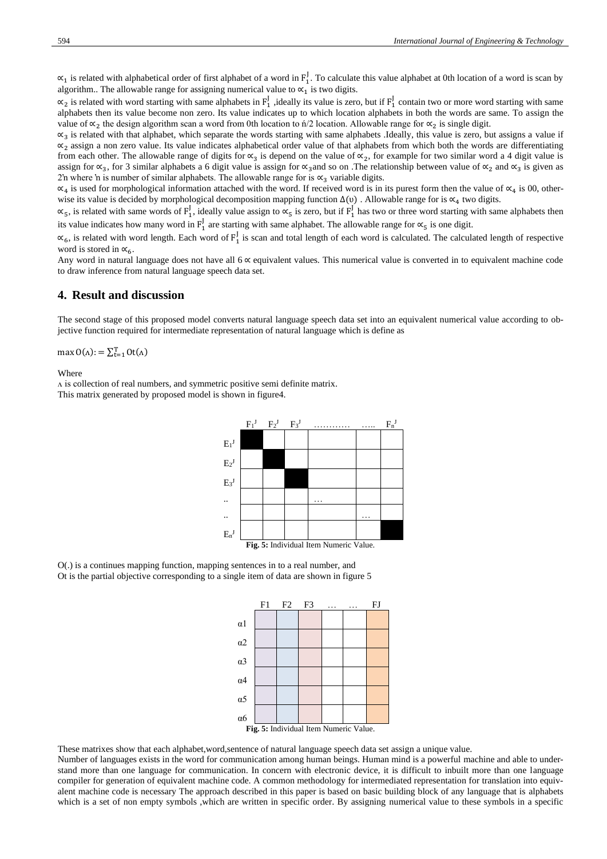$\alpha_1$  is related with alphabetical order of first alphabet of a word in  $F_1^J$ . To calculate this value alphabet at 0th location of a word is scan by algorithm.. The allowable range for assigning numerical value to  $\alpha_1$  is two digits.

 $\alpha_2$  is related with word starting with same alphabets in  $F_1^J$ , ideally its value is zero, but if  $F_1^J$  contain two or more word starting with same alphabets then its value become non zero. Its value indicates up to which location alphabets in both the words are same. To assign the value of  $\alpha_2$  the design algorithm scan a word from 0th location to n'/2 location. Allowable range for  $\alpha_2$  is single digit.

 $\alpha_3$  is related with that alphabet, which separate the words starting with same alphabets .Ideally, this value is zero, but assigns a value if  $\alpha_2$  assign a non zero value. Its value indicates alphabetical order value of that alphabets from which both the words are differentiating from each other. The allowable range of digits for  $\alpha_3$  is depend on the value of  $\alpha_2$ , for example for two similar word a 4 digit value is assign for «3, for 3 similar alphabets a 6 digit value is assign for «3 and so on .The relationship between value of «2 and «3 is given as 2'n where 'n is number of similar alphabets. The allowable range for is  $\alpha_3$  variable digits.

 $\alpha_4$  is used for morphological information attached with the word. If received word is in its purest form then the value of  $\alpha_4$  is 00, otherwise its value is decided by morphological decomposition mapping function  $\Delta(\upsilon)$ . Allowable range for is  $\propto_4$  two digits.

 $\alpha_5$ , is related with same words of  $F_1^J$ , ideally value assign to  $\alpha_5$  is zero, but if  $F_1^J$  has two or three word starting with same alphabets then its value indicates how many word in  $F_1^J$  are starting with same alphabet. The allowable range for  $\alpha_5$  is one digit.

 $\alpha_6$ , is related with word length. Each word of  $F_1^J$  is scan and total length of each word is calculated. The calculated length of respective word is stored in  $\alpha_6$ .

Any word in natural language does not have all 6 ∝ equivalent values. This numerical value is converted in to equivalent machine code to draw inference from natural language speech data set.

## **4. Result and discussion**

The second stage of this proposed model converts natural language speech data set into an equivalent numerical value according to objective function required for intermediate representation of natural language which is define as

max  $O(\Lambda)$ : =  $\sum_{t=1}^{T} Ot(\Lambda)$ 

Where

ʌ is collection of real numbers, and symmetric positive semi definite matrix. This matrix generated by proposed model is shown in figure4.



O(.) is a continues mapping function, mapping sentences in to a real number, and Ot is the partial objective corresponding to a single item of data are shown in figure 5



These matrixes show that each alphabet,word,sentence of natural language speech data set assign a unique value.

Number of languages exists in the word for communication among human beings. Human mind is a powerful machine and able to understand more than one language for communication. In concern with electronic device, it is difficult to inbuilt more than one language compiler for generation of equivalent machine code. A common methodology for intermediated representation for translation into equivalent machine code is necessary The approach described in this paper is based on basic building block of any language that is alphabets which is a set of non empty symbols ,which are written in specific order. By assigning numerical value to these symbols in a specific